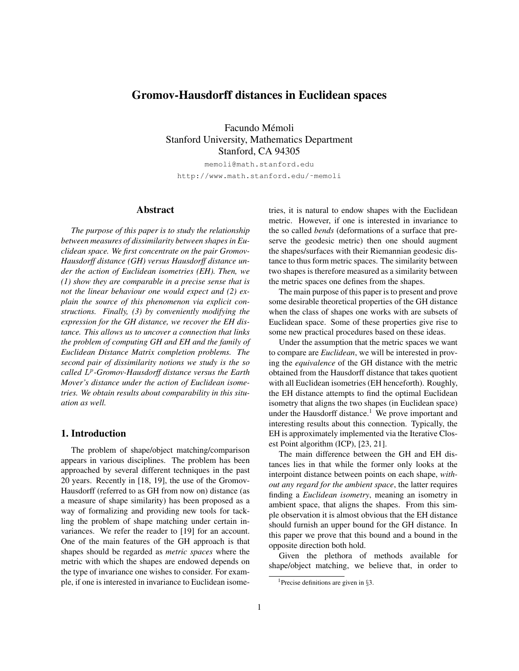## Gromov-Hausdorff distances in Euclidean spaces

Facundo Mémoli Stanford University, Mathematics Department Stanford, CA 94305

memoli@math.stanford.edu http://www.math.stanford.edu/˜memoli

#### Abstract

*The purpose of this paper is to study the relationship between measures of dissimilarity between shapes in Euclidean space. We first concentrate on the pair Gromov-Hausdorff distance (GH) versus Hausdorff distance under the action of Euclidean isometries (EH). Then, we (1) show they are comparable in a precise sense that is not the linear behaviour one would expect and (2) explain the source of this phenomenon via explicit constructions. Finally, (3) by conveniently modifying the expression for the GH distance, we recover the EH distance. This allows us to uncover a connection that links the problem of computing GH and EH and the family of Euclidean Distance Matrix completion problems. The second pair of dissimilarity notions we study is the so called* L p *-Gromov-Hausdorff distance versus the Earth Mover's distance under the action of Euclidean isometries. We obtain results about comparability in this situation as well.*

#### 1. Introduction

The problem of shape/object matching/comparison appears in various disciplines. The problem has been approached by several different techniques in the past 20 years. Recently in [18, 19], the use of the Gromov-Hausdorff (referred to as GH from now on) distance (as a measure of shape similarity) has been proposed as a way of formalizing and providing new tools for tackling the problem of shape matching under certain invariances. We refer the reader to [19] for an account. One of the main features of the GH approach is that shapes should be regarded as *metric spaces* where the metric with which the shapes are endowed depends on the type of invariance one wishes to consider. For example, if one is interested in invariance to Euclidean isometries, it is natural to endow shapes with the Euclidean metric. However, if one is interested in invariance to the so called *bends* (deformations of a surface that preserve the geodesic metric) then one should augment the shapes/surfaces with their Riemannian geodesic distance to thus form metric spaces. The similarity between two shapes is therefore measured as a similarity between the metric spaces one defines from the shapes.

The main purpose of this paper is to present and prove some desirable theoretical properties of the GH distance when the class of shapes one works with are subsets of Euclidean space. Some of these properties give rise to some new practical procedures based on these ideas.

Under the assumption that the metric spaces we want to compare are *Euclidean*, we will be interested in proving the *equivalence* of the GH distance with the metric obtained from the Hausdorff distance that takes quotient with all Euclidean isometries (EH henceforth). Roughly, the EH distance attempts to find the optimal Euclidean isometry that aligns the two shapes (in Euclidean space) under the Hausdorff distance.<sup>1</sup> We prove important and interesting results about this connection. Typically, the EH is approximately implemented via the Iterative Closest Point algorithm (ICP), [23, 21].

The main difference between the GH and EH distances lies in that while the former only looks at the interpoint distance between points on each shape, *without any regard for the ambient space*, the latter requires finding a *Euclidean isometry*, meaning an isometry in ambient space, that aligns the shapes. From this simple observation it is almost obvious that the EH distance should furnish an upper bound for the GH distance. In this paper we prove that this bound and a bound in the opposite direction both hold.

Given the plethora of methods available for shape/object matching, we believe that, in order to

<sup>&</sup>lt;sup>1</sup>Precise definitions are given in  $\S$ 3.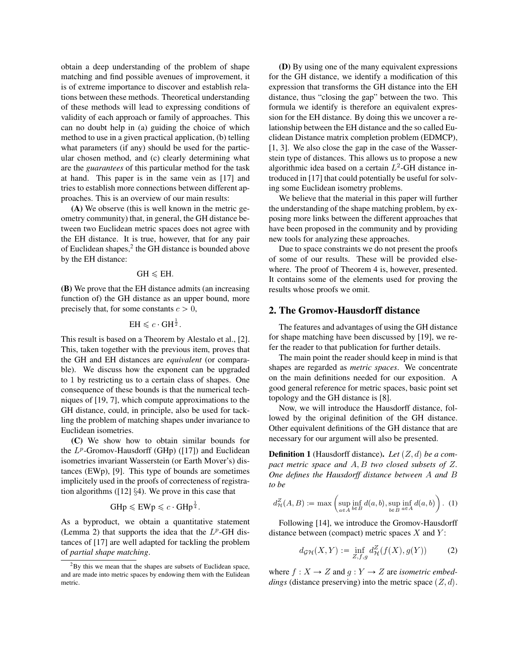obtain a deep understanding of the problem of shape matching and find possible avenues of improvement, it is of extreme importance to discover and establish relations between these methods. Theoretical understanding of these methods will lead to expressing conditions of validity of each approach or family of approaches. This can no doubt help in (a) guiding the choice of which method to use in a given practical application, (b) telling what parameters (if any) should be used for the particular chosen method, and (c) clearly determining what are the *guarantees* of this particular method for the task at hand. This paper is in the same vein as [17] and tries to establish more connections between different approaches. This is an overview of our main results:

(A) We observe (this is well known in the metric geometry community) that, in general, the GH distance between two Euclidean metric spaces does not agree with the EH distance. It is true, however, that for any pair of Euclidean shapes,<sup>2</sup> the GH distance is bounded above by the EH distance:

#### $GH \leq EH$ .

(B) We prove that the EH distance admits (an increasing function of) the GH distance as an upper bound, more precisely that, for some constants  $c > 0$ ,

# $EH \leqslant c$   $GH^{\frac{1}{2}}$ .

This result is based on a Theorem by Alestalo et al., [2]. This, taken together with the previous item, proves that the GH and EH distances are *equivalent* (or comparable). We discuss how the exponent can be upgraded to 1 by restricting us to a certain class of shapes. One consequence of these bounds is that the numerical techniques of [19, 7], which compute approximations to the GH distance, could, in principle, also be used for tackling the problem of matching shapes under invariance to Euclidean isometries.

(C) We show how to obtain similar bounds for the  $L^p$ -Gromov-Hausdorff (GHp) ([17]) and Euclidean isometries invariant Wasserstein (or Earth Mover's) distances (EWp), [9]. This type of bounds are sometimes implicitely used in the proofs of correcteness of registration algorithms ([12] §4). We prove in this case that

$$
GHp \leq EWp \leq c \cdot GHp^{\frac{1}{4}}.
$$

As a byproduct, we obtain a quantitative statement (Lemma 2) that supports the idea that the  $L^p$ -GH distances of [17] are well adapted for tackling the problem of *partial shape matching*.

(D) By using one of the many equivalent expressions for the GH distance, we identify a modification of this expression that transforms the GH distance into the EH distance, thus "closing the gap" between the two. This formula we identify is therefore an equivalent expression for the EH distance. By doing this we uncover a relationship between the EH distance and the so called Euclidean Distance matrix completion problem (EDMCP), [1, 3]. We also close the gap in the case of the Wasserstein type of distances. This allows us to propose a new algorithmic idea based on a certain  $L^2$ -GH distance introduced in [17] that could potentially be useful for solving some Euclidean isometry problems.

We believe that the material in this paper will further the understanding of the shape matching problem, by exposing more links between the different approaches that have been proposed in the community and by providing new tools for analyzing these approaches.

Due to space constraints we do not present the proofs of some of our results. These will be provided elsewhere. The proof of Theorem 4 is, however, presented. It contains some of the elements used for proving the results whose proofs we omit.

#### 2. The Gromov-Hausdorff distance

The features and advantages of using the GH distance for shape matching have been discussed by [19], we refer the reader to that publication for further details.

The main point the reader should keep in mind is that shapes are regarded as *metric spaces*. We concentrate on the main definitions needed for our exposition. A good general reference for metric spaces, basic point set topology and the GH distance is [8].

Now, we will introduce the Hausdorff distance, followed by the original definition of the GH distance. Other equivalent definitions of the GH distance that are necessary for our argument will also be presented.

**Definition 1** (Hausdorff distance). Let  $(Z, d)$  be a com*pact metric space and* A, B *two closed subsets of* Z*. One defines the Hausdorff distance between* A *and* B *to be*

$$
d_{\mathcal{H}}^{Z}(A,B) := \max\left(\sup_{a \in A} \inf_{b \in B} d(a,b), \sup_{b \in B} \inf_{a \in A} d(a,b)\right). (1)
$$

Following [14], we introduce the Gromov-Hausdorff distance between (compact) metric spaces  $X$  and  $Y$ :

$$
d_{\mathcal{GH}}(X,Y) := \inf_{Z,f,g} d_{\mathcal{H}}^Z(f(X),g(Y)) \tag{2}
$$

where  $f: X \to Z$  and  $g: Y \to Z$  are *isometric embeddings* (distance preserving) into the metric space  $(Z, d)$ .

<sup>2</sup>By this we mean that the shapes are subsets of Euclidean space, and are made into metric spaces by endowing them with the Eulidean metric.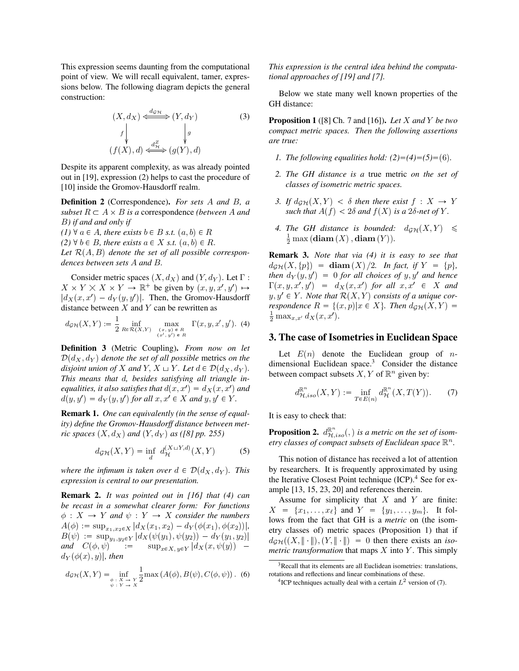This expression seems daunting from the computational point of view. We will recall equivalent, tamer, expressions below. The following diagram depicts the general construction:

$$
(X, d_X) \xleftarrow{d_{\mathcal{GH}}} (Y, d_Y) \tag{3}
$$
\n
$$
f \downarrow g
$$
\n
$$
(f(X), d) \xleftarrow{d_Z^Z} (g(Y), d)
$$

Despite its apparent complexity, as was already pointed out in [19], expression (2) helps to cast the procedure of [10] inside the Gromov-Hausdorff realm.

Definition 2 (Correspondence). *For sets* A *and* B*, a subset*  $R \subset A \times B$  *is a* correspondence *(between* A *and* B*) if and and only if*

 $(1)$   $\forall$   $a \in A$ *, there exists*  $b \in B$  *s.t.*  $(a, b) \in R$ 

 $(2)$   $\forall$   $b \in B$ *, there exists*  $a \in X$  *s.t.*  $(a, b) \in R$ .

Let  $\mathcal{R}(A, B)$  denote the set of all possible correspon*dences between sets* A *and* B*.*

Consider metric spaces  $(X, d_X)$  and  $(Y, d_Y)$ . Let  $\Gamma$  :  $X \times Y \times X \times Y \to \mathbb{R}^+$  be given by  $(x, y, x', y') \mapsto$  $|d_X(x, x') - d_Y(y, y')|$ . Then, the Gromov-Hausdorff distance between  $X$  and  $Y$  can be rewritten as

$$
d_{\mathcal{GH}}(X,Y) := \frac{1}{2} \inf_{R \in \mathcal{R}(X,Y)} \max_{\substack{(x,y) \in R \\ (x',y') \in R}} \Gamma(x,y,x',y'). \quad (4)
$$

Definition 3 (Metric Coupling). *From now on let*  $\mathcal{D}(d_X, d_Y)$  denote the set of all possible metrics on the *disjoint union of* X *and* Y,  $X \sqcup Y$ *. Let*  $d \in \mathcal{D}(d_X, d_Y)$ *. This means that* d*, besides satisfying all triangle inequalities, it also satisfies that*  $d(x, x') = d_X(x, x')$  *and*  $d(y, y') = d_Y(y, y')$  for all  $x, x' \in X$  and  $y, y' \in Y$ *.* 

Remark 1. *One can equivalently (in the sense of equality) define the Gromov-Hausdorff distance between metric spaces*  $(X, d_X)$  *and*  $(Y, d_Y)$  *as ([8] pp. 255)* 

$$
d_{\mathcal{GH}}(X,Y) = \inf_{d} d_{\mathcal{H}}^{(X \sqcup Y,d)}(X,Y) \tag{5}
$$

*where the infimum is taken over*  $d \in \mathcal{D}(d_X, d_Y)$ *. This expression is central to our presentation.*

Remark 2. *It was pointed out in [16] that (4) can be recast in a somewhat clearer form: For functions*  $\phi: X \to Y$  *and*  $\psi: Y \to X$  *consider the numbers*  $A(\phi) := \sup_{x_1, x_2 \in X} |d_X(x_1, x_2) - d_Y(\phi(x_1), \phi(x_2))|,$  $B(\psi) := \sup_{y_1, y_2 \in Y} |d_X(\psi(y_1), \psi(y_2)) - d_Y(y_1, y_2)|$ *and*  $C(\phi, \psi)$  :=  $\sup_{x \in X, y \in Y} |d_X(x, \psi(y))|$   $d_Y(\phi(x), y)$ , then

$$
d_{\mathcal{GH}}(X,Y) = \inf_{\substack{\phi \ : \ X \to Y \\ \psi \ : \ Y \to X}} \frac{1}{2} \max\left(A(\phi), B(\psi), C(\phi, \psi)\right). \tag{6}
$$

*This expression is the central idea behind the computational approaches of [19] and [7].*

Below we state many well known properties of the GH distance:

Proposition 1 ([8] Ch. 7 and [16]). *Let* X *and* Y *be two compact metric spaces. Then the following assertions are true:*

- *1. The following equalities hold:*  $(2)=(4)=(5)=(6)$ *.*
- *2. The GH distance is a* true metric *on the set of classes of isometric metric spaces.*
- *3.* If  $d_{\mathcal{GH}}(X, Y) < \delta$  then there exist  $f : X \to Y$ *such that*  $A(f) < 2\delta$  *and*  $f(X)$  *is a* 2 $\delta$ *-net of* Y.
- 4. The GH distance is bounded:  $d_{\mathcal{GH}}(X, Y) \leq$  $\frac{1}{2}$  max (**diam**  $(X)$ , **diam**  $(Y)$ ).

Remark 3. *Note that via (4) it is easy to see that*  $d_{\mathcal{GH}}(X, \{p\}) = \text{diam}(X)/2$ . In fact, if  $Y = \{p\},\$ *then*  $d_Y(y, y') = 0$  *for all choices of* y, y' *and hence*  $\Gamma(x, y, x', y') = d_X(x, x')$  for all  $x, x' \in X$  and  $y, y' \in Y$ *. Note that*  $\mathcal{R}(X, Y)$  *consists of a unique correspondence*  $R = \{(x, p)|x \in X\}$ *. Then*  $d_{\mathcal{GH}}(X, Y) =$  $\frac{1}{2} \max_{x,x'} d_X(x,x').$ 

#### 3. The case of Isometries in Euclidean Space

Let  $E(n)$  denote the Euclidean group of ndimensional Euclidean space.<sup>3</sup> Consider the distance between compact subsets  $X, Y$  of  $\mathbb{R}^n$  given by:

$$
d_{\mathcal{H},iso}^{\mathbb{R}^n}(X,Y) := \inf_{T \in E(n)} d_{\mathcal{H}}^{\mathbb{R}^n}(X,T(Y)). \tag{7}
$$

It is easy to check that:

**Proposition 2.**  $d_{\mathcal{H},iso}^{\mathbb{R}^n}(\rho)$  is a metric on the set of isometry classes of compact subsets of Euclidean space  $\mathbb{R}^n$ .

This notion of distance has received a lot of attention by researchers. It is frequently approximated by using the Iterative Closest Point technique (ICP).<sup>4</sup> See for example [13, 15, 23, 20] and references therein.

Assume for simplicity that  $X$  and  $Y$  are finite:  $X = \{x_1, \ldots, x_\ell\}$  and  $Y = \{y_1, \ldots, y_m\}$ . It follows from the fact that GH is a *metric* on (the isometry classes of) metric spaces (Proposition 1) that if  $d_{\mathcal{GH}}((X, \|\cdot\|), (Y, \|\cdot\|) = 0$  then there exists an *isometric transformation* that maps  $X$  into  $Y$ . This simply

 $3$ Recall that its elements are all Euclidean isometries: translations, rotations and reflections and linear combinations of these.

<sup>&</sup>lt;sup>4</sup>ICP techniques actually deal with a certain  $L^2$  version of (7).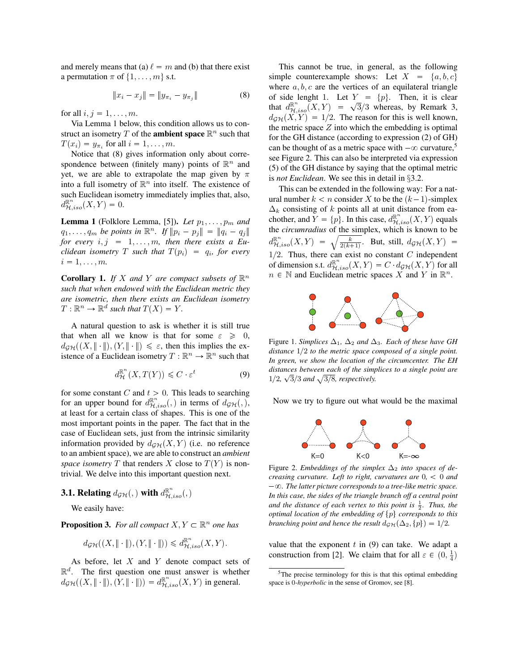and merely means that (a)  $\ell = m$  and (b) that there exist a permutation  $\pi$  of  $\{1, \ldots, m\}$  s.t.

$$
\|x_i - x_j\| = \|y_{\pi_i} - y_{\pi_j}\| \tag{8}
$$

for all  $i, j = 1, \ldots, m$ .

Via Lemma 1 below, this condition allows us to construct an isometry T of the **ambient space**  $\mathbb{R}^n$  such that  $T(x_i) = y_{\pi_i}$  for all  $i = 1, \ldots, m$ .

Notice that (8) gives information only about correspondence between (finitely many) points of  $\mathbb{R}^n$  and yet, we are able to extrapolate the map given by  $\pi$ into a full isometry of  $\mathbb{R}^n$  into itself. The existence of such Euclidean isometry immediately implies that, also,  $d_{\mathcal{H},iso}^{\mathbb{R}^n}(X,Y) = 0.$ 

**Lemma 1** (Folklore Lemma, [5]). Let  $p_1, \ldots, p_m$  and  $q_1, \ldots, q_m$  *be points in*  $\mathbb{R}^n$ . If  $||p_i - p_j|| = ||q_i - q_j||$ for every  $i, j = 1, ..., m$ , then there exists a Eu*clidean isometry*  $T$  *such that*  $T(p_i) = q_i$ *, for every*  $i = 1, \ldots, m$ .

**Corollary 1.** If X and Y are compact subsets of  $\mathbb{R}^n$ *such that when endowed with the Euclidean metric they are isometric, then there exists an Euclidean isometry*  $T: \mathbb{R}^n \to \mathbb{R}^d$  such that  $T(X) = Y$ .

A natural question to ask is whether it is still true that when all we know is that for some  $\varepsilon \geq 0$ ,  $d_{\mathcal{GH}}((X, \|\cdot\|), (Y, \|\cdot\|) \leq \varepsilon$ , then this implies the existence of a Euclidean isometry  $T : \mathbb{R}^n \to \mathbb{R}^n$  such that

$$
d_{\mathcal{H}}^{\mathbb{R}^n}(X, T(Y)) \leqslant C \cdot \varepsilon^t \tag{9}
$$

for some constant C and  $t > 0$ . This leads to searching for an upper bound for  $d_{\mathcal{H},iso}^{\mathbb{R}^n}(\rho, \rho)$  in terms of  $d_{\mathcal{GH}}(\rho, \rho)$ , at least for a certain class of shapes. This is one of the most important points in the paper. The fact that in the case of Euclidean sets, just from the intrinsic similarity information provided by  $d_{\mathcal{GH}}(X, Y)$  (i.e. no reference to an ambient space), we are able to construct an *ambient space isometry* T that renders X close to  $T(Y)$  is nontrivial. We delve into this important question next.

# **3.1. Relating**  $d_{\mathcal{GH}}(,)$  with  $d_{\mathcal{H},iso}^{\mathbb{R}^n}(,)$

We easily have:

**Proposition 3.** For all compact  $X, Y \subset \mathbb{R}^n$  one has

$$
d_{\mathcal{GH}}((X, \|\cdot\|), (Y, \|\cdot\|)) \le d_{\mathcal{H}, iso}^{\mathbb{R}^n}(X, Y).
$$

As before, let  $X$  and  $Y$  denote compact sets of  $\mathbb{R}^d$ . The first question one must answer is whether  $d_{\mathcal{GH}}((X, \|\cdot\|), (\hat{Y}, \|\cdot\|)) = d_{\mathcal{H}, iso}^{\mathbb{R}^n}(X, Y)$  in general.

This cannot be true, in general, as the following simple counterexample shows: Let  $X = \{a, b, c\}$ where  $a, b, c$  are the vertices of an equilateral triangle of side lenght 1. Let  $Y = \{p\}$ . Then, it is clear that  $d_{\mathcal{H},iso}^{\mathbb{R}^n}(X,Y) = \sqrt{3}/3$  whereas, by Remark 3,  $d_{\mathcal{GH}}(X, Y) = 1/2$ . The reason for this is well known, the metric space  $Z$  into which the embedding is optimal for the GH distance (according to expression (2) of GH) can be thought of as a metric space with  $-\infty$  curvature,<sup>5</sup> see Figure 2. This can also be interpreted via expression (5) of the GH distance by saying that the optimal metric is *not Euclidean*. We see this in detail in §3.2.

This can be extended in the following way: For a natural number  $k < n$  consider X to be the  $(k-1)$ -simplex  $\Delta_k$  consisting of k points all at unit distance from eachother, and  $Y = \{p\}$ . In this case,  $d_{\mathcal{H},iso}^{\mathbb{R}^n}(X, Y)$  equals the *circumradius* of the simplex, which is known to be  $d^{\mathbb{R}^n}_{\mathcal{H},iso}(X,Y) = \sqrt{\frac{k}{2(k+1)}}.$  But, still,  $d_{\mathcal{GH}}(X,Y) =$  $1/2$ . Thus, there can exist no constant C independent of dimension s.t.  $d^{\mathbb{R}^n}_{\mathcal{H},iso}(X,Y) = C \cdot d_{\mathcal{GH}}(X,Y)$  for all  $n \in \mathbb{N}$  and Euclidean metric spaces X and Y in  $\mathbb{R}^n$ .



Figure 1. *Simplices*  $\Delta_1$ ,  $\Delta_2$  *and*  $\Delta_3$ *. Each of these have GH distance*  $1/2$  *to the metric space composed of a single point. In green, we show the location of the circumcenter. The EH distances between each of the simplices to a single point are*  $1/2, \sqrt{3}/3$  and  $\sqrt{3/8}$ , respectively.

Now we try to figure out what would be the maximal



Figure 2. *Embeddings of the simplex*  $\Delta_2$  *into spaces of decreasing curvature. Left to right, curvatures are* 0*,* 0 *and*  $-\infty$ . The latter picture corresponds to a tree-like metric space. *In this case, the sides of the triangle branch off a central point and the distance of each vertex to this point is*  $\frac{1}{2}$ *. Thus, the optimal location of the embedding of*  $\{p\}$  *corresponds to this branching point and hence the result*  $d_{\mathcal{GH}}(\Delta_2, \{p\}) = 1/2$ *.* 

value that the exponent  $t$  in  $(9)$  can take. We adapt a construction from [2]. We claim that for all  $\varepsilon \in (0, \frac{1}{4})$ 

<sup>5</sup>The precise terminology for this is that this optimal embedding space is 0-*hyperbolic* in the sense of Gromov, see [8].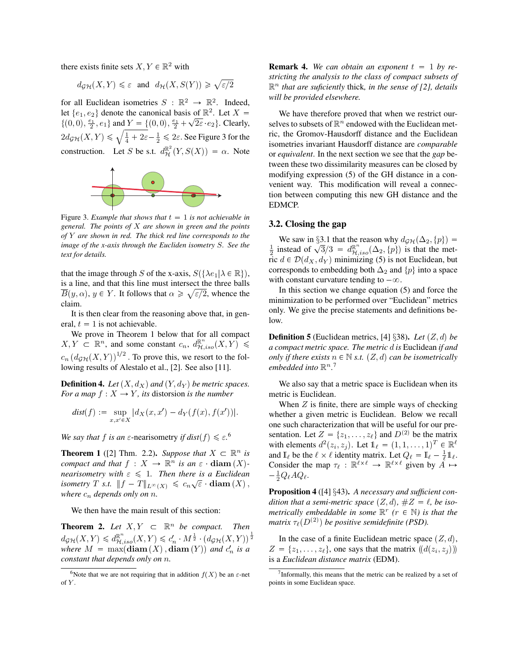there exists finite sets  $X, Y \in \mathbb{R}^2$  with

$$
d_{\mathcal{GH}}(X,Y) \leq \varepsilon
$$
 and  $d_{\mathcal{H}}(X,S(Y)) \geq \sqrt{\varepsilon/2}$ 

for all Euclidean isometries  $S : \mathbb{R}^2 \to \mathbb{R}^2$ . Indeed, let  $\{e_1, e_2\}$  denote the canonical basis of  $\mathbb{R}^2$ . Let  $X =$  $\{(0,0),\frac{e_1}{2},e_1\}$  and  $\underline{Y}=\{(0,0),\frac{e_1}{2}+$  $\sqrt{2\varepsilon}$  e<sub>2</sub>. Clearly,  $2d_{\mathcal{GH}}(X,Y)\leqslant \sqrt{\frac14+2\varepsilon}-\frac12\leqslant 2\varepsilon.$  See Figure 3 for the construction. Let S be s.t.  $d_{\mathcal{H}}^{\mathbb{R}^2}(Y, S(X)) = \alpha$ . Note



Figure 3. *Example that shows that*  $t = 1$  *is not achievable in general. The points of* X *are shown in green and the points of* Y *are shown in red. The thick red line corresponds to the image of the x-axis through the Eucliden isometry* S*. See the text for details.*

that the image through S of the x-axis,  $S(\lbrace \lambda e_1 | \lambda \in \mathbb{R} \rbrace)$ , is a line, and that this line must intersect the three balls  $\overline{B}(y,\alpha), y \in Y$ . It follows that  $\alpha \geq \sqrt{\varepsilon/2}$ , whence the claim.

It is then clear from the reasoning above that, in general,  $t = 1$  is not achievable.

We prove in Theorem 1 below that for all compact  $X, Y \subset \mathbb{R}^n$ , and some constant  $c_n$ ,  $d_{\mathcal{H},iso}^{\mathbb{R}^n}(X, Y) \leq$  $c_n (d_{\mathcal{GH}}(X, Y))^{1/2}$ . To prove this, we resort to the following results of Alestalo et al., [2]. See also [11].

**Definition 4.** Let  $(X, d_X)$  and  $(Y, d_Y)$  be metric spaces. *For a map*  $f: X \rightarrow Y$ *, its* distorsion *is the number* 

$$
dist(f) := \sup_{x,x' \in X} |d_X(x,x') - d_Y(f(x),f(x'))|.
$$

*We say that*  $f$  *is an*  $\varepsilon$ -nearisometry *if dist* $(f) \le \varepsilon$ <sup>6</sup>.

**Theorem 1** ([2] Thm. 2.2). Suppose that  $X \subset \mathbb{R}^n$  is *compact and that*  $f: X \to \mathbb{R}^n$  *is an*  $\varepsilon \cdot \textbf{diam}(X)$ *nearisometry with*  $\varepsilon \leq 1$ *. Then there is a Euclidean isometry*  $T$  *s.t.*  $||f - T||_{L^{\infty}(X)} \leqslant c_n \sqrt{\varepsilon}$  **diam**  $(X)$ , *where*  $c_n$  *depends only on n.* 

We then have the main result of this section:

**Theorem 2.** Let  $X, Y \subset \mathbb{R}^n$  be compact. Then  $d_{\mathcal{GH}}(X,Y) \leqslant d_{\mathcal{H},iso}^{\mathbb{R}^n}(X,Y) \leqslant c_n' \cdot M^{\frac{1}{2}} \cdot \left( d_{\mathcal{GH}}(X,Y) \right)^{\frac{1}{2}}$ *where*  $M = \max(\text{diam}(X), \text{diam}(Y))$  and  $c'_n$  is a *constant that depends only on* n*.*

**Remark 4.** We can obtain an exponent  $t = 1$  by re*stricting the analysis to the class of compact subsets of* R <sup>n</sup> *that are suficiently* thick*, in the sense of [2], details will be provided elsewhere.*

We have therefore proved that when we restrict ourselves to subsets of  $\mathbb{R}^n$  endowed with the Euclidean metric, the Gromov-Hausdorff distance and the Euclidean isometries invariant Hausdorff distance are *comparable* or *equivalent*. In the next section we see that the *gap* between these two dissimilarity measures can be closed by modifying expression (5) of the GH distance in a convenient way. This modification will reveal a connection between computing this new GH distance and the EDMCP.

#### 3.2. Closing the gap

We saw in §3.1 that the reason why  $d_{\mathcal{GH}}(\Delta_2, \{p\}) =$  $\frac{1}{2}$  instead of  $\sqrt{3}/3 = d_{\mathcal{H},iso}^{\mathbb{R}^n}(\Delta_2, \{p\})$  is that the metric  $d \in \mathcal{D}(d_X, d_Y)$  minimizing (5) is not Euclidean, but corresponds to embedding both  $\Delta_2$  and  $\{p\}$  into a space with constant curvature tending to  $-\infty$ .

In this section we change equation (5) and force the minimization to be performed over "Euclidean" metrics only. We give the precise statements and definitions below.

**Definition 5** (Euclidean metrics, [4] §38). Let  $(Z, d)$  be *a compact metric space. The metric* d *is* Euclidean *if and only if there exists*  $n \in \mathbb{N}$  *s.t.*  $(Z, d)$  *can be isometrically* embedded into  $\mathbb{R}^{n}$ .<sup>7</sup>

We also say that a metric space is Euclidean when its metric is Euclidean.

When  $Z$  is finite, there are simple ways of checking whether a given metric is Euclidean. Below we recall one such characterization that will be useful for our presentation. Let  $Z = \{z_1, \ldots, z_\ell\}$  and  $D^{(2)}$  be the matrix with elements  $d^2(z_i, z_j)$ . Let  $\mathbb{1}_{\ell} = (1, 1, \dots, 1)^T \in \mathbb{R}^{\ell}$ and  $\mathbb{I}_{\ell}$  be the  $\ell \times \ell$  identity matrix. Let  $Q_{\ell} = \mathbb{I}_{\ell} - \frac{1}{\ell} \mathbb{1}_{\ell}$ . Consider the map  $\tau_{\ell}$ :  $\mathbb{R}^{\ell \times \ell} \to \mathbb{R}^{\ell \times \ell}$  given by  $A \mapsto$  $-\frac{1}{2}Q_{\ell}AQ_{\ell}.$ 

Proposition 4 ([4] §43). *A necessary and sufficient condition that a semi-metric space*  $(Z, d)$ ,  $\#Z = \ell$ , *be isometrically embeddable in some*  $\mathbb{R}^r$  ( $r \in \mathbb{N}$ ) *is that the matrix*  $\tau_{\ell}(D^{(2)})$  be positive semidefinite (PSD).

In the case of a finite Euclidean metric space  $(Z, d)$ ,  $Z = \{z_1, \ldots, z_\ell\}$ , one says that the matrix  $(\mathcal{d}(z_i, z_j))$ is a *Euclidean distance matrix* (EDM).

<sup>&</sup>lt;sup>6</sup>Note that we are not requiring that in addition  $f(X)$  be an  $\varepsilon$ -net of  $Y$ .

<sup>&</sup>lt;sup>7</sup>Informally, this means that the metric can be realized by a set of points in some Euclidean space.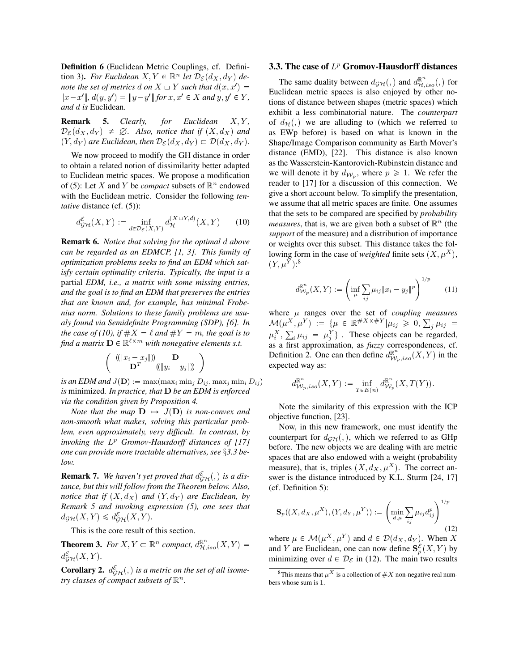Definition 6 (Euclidean Metric Couplings, cf. Definition 3). *For Euclidean*  $X, Y \in \mathbb{R}^n$  *let*  $\mathcal{D}_{\mathcal{E}}(d_X, d_Y)$  *denote the set of metrics*  $d$  *on*  $X \sqcup Y$  *such that*  $d(x, x') =$  $||x-x'||$ ,  $d(y, y') = ||y-y'||$  for  $x, x' \in X$  and  $y, y' \in Y$ , *and* d *is* Euclidean*.*

**Remark 5.** *Clearly, for Euclidean X,Y,*  $\mathcal{D}_{\mathcal{E}}(d_X, d_Y) \neq \emptyset$ . Also, notice that if  $(X, d_X)$  and  $(Y, d_Y)$  are Euclidean, then  $\mathcal{D}_{\mathcal{E}}(d_X, d_Y) \subset \mathcal{D}(d_X, d_Y)$ .

We now proceed to modify the GH distance in order to obtain a related notion of dissimilarity better adapted to Euclidean metric spaces. We propose a modification of (5): Let X and Y be *compact* subsets of  $\mathbb{R}^n$  endowed with the Euclidean metric. Consider the following *tentative* distance (cf. (5)):

$$
d_{\mathcal{GH}}^{\mathcal{E}}(X,Y) := \inf_{d \in \mathcal{D}_{\mathcal{E}}(X,Y)} d_{\mathcal{H}}^{(X \sqcup Y,d)}(X,Y) \tag{10}
$$

Remark 6. *Notice that solving for the optimal* d *above can be regarded as an EDMCP, [1, 3]. This family of optimization problems seeks to find an EDM which satisfy certain optimality criteria. Typically, the input is a* partial *EDM, i.e., a matrix with some missing entries, and the goal is to find an EDM that preserves the entries that are known and, for example, has minimal Frobenius norm. Solutions to these family problems are usualy found via Semidefinite Programming (SDP), [6]. In the case of (10), if*  $\#X = \ell$  *and*  $\#Y = m$ *, the goal is to* find a matrix  $\mathbf{D} \in \mathbb{R}^{\ell \times m}$  with nonegative elements s.t.

$$
\left(\begin{array}{c} \left(\|x_i - x_j\|\right) & \mathbf{D} \\ \mathbf{D}^T & \left(\|y_i - y_j\|\right) \end{array}\right)
$$

*is an EDM and*  $J(\mathbf{D}) := \max(\max_i \min_j D_{ij}, \max_j \min_i D_{ij})$ *is* minimized*. In practice, that* D *be an EDM is enforced via the condition given by Proposition 4.*

*Note that the map*  $\mathbf{D} \mapsto J(\mathbf{D})$  *is non-convex and non-smooth what makes, solving this particular problem, even approximately, very difficult. In contrast, by invoking the* L <sup>p</sup> *Gromov-Hausdorff distances of [17] one can provide more tractable alternatives, see* §*3.3 below.*

**Remark 7.** We haven't yet proved that  $d_{\mathcal{GH}}^{\mathcal{E}}(x)$  is a dis*tance, but this will follow from the Theorem below. Also, notice that if*  $(X, d_X)$  *and*  $(Y, d_Y)$  *are Euclidean, by Remark 5 and invoking expression (5), one sees that*  $d_{\mathcal{GH}}(X,Y) \leq d_{\mathcal{GH}}^{\mathcal{E}}(X,Y).$ 

This is the core result of this section.

**Theorem 3.** For  $X, Y \subset \mathbb{R}^n$  compact,  $d_{\mathcal{H},iso}^{\mathbb{R}^n}(X, Y) =$  $d_{\mathcal{GH}}^{\mathcal{E}}(X,Y).$ 

**Corollary 2.**  $d_{\mathcal{GH}}^{\mathcal{E}}(x)$  is a metric on the set of all isome*try classes of compact subsets of*  $\mathbb{R}^n$ .

### 3.3. The case of  $L^p$  Gromov-Hausdorff distances

The same duality between  $d_{\mathcal{GH}}(p)$  and  $d_{\mathcal{H},iso}^{\mathbb{R}^n}(q)$  for Euclidean metric spaces is also enjoyed by other notions of distance between shapes (metric spaces) which exhibit a less combinatorial nature. The *counterpart* of  $d_{\mathcal{H}}(x)$ , we are alluding to (which we referred to as EWp before) is based on what is known in the Shape/Image Comparison community as Earth Mover's distance (EMD), [22]. This distance is also known as the Wasserstein-Kantorovich-Rubinstein distance and we will denote it by  $d_{\mathcal{W}_p}$ , where  $p \ge 1$ . We refer the reader to [17] for a discussion of this connection. We give a short account below. To simplify the presentation, we assume that all metric spaces are finite. One assumes that the sets to be compared are specified by *probability measures*, that is, we are given both a subset of  $\mathbb{R}^n$  (the *support* of the measure) and a distribution of importance or weights over this subset. This distance takes the following form in the case of *weighted* finite sets  $(X, \mu^X)$ ,  $(Y, \mu^Y)$ :<sup>8</sup>

$$
d_{\mathcal{W}_p}^{\mathbb{R}^n}(X, Y) := \left(\inf_{\mu} \sum_{ij} \mu_{ij} \|x_i - y_j\|^p\right)^{1/p} \tag{11}
$$

where  $\mu$  ranges over the set of *coupling measures*  $\mathcal{M}(\mu^{X}, \mu^{Y}) := \{ \mu \in \mathbb{R}^{\#X \times \#Y} | \mu_{ij} \geqslant 0, \sum_{j} \mu_{ij} =$  $\mu_i^X$ ,  $\sum_i \mu_{ij} = \mu_j^Y$ . These objects can be regarded, as a first approximation, as *fuzzy* correspondences, cf. Definition 2. One can then define  $d_{W_p,iso}^{\mathbb{R}^n}(X, Y)$  in the expected way as:

$$
d_{\mathcal{W}_p,iso}^{\mathbb{R}^n}(X,Y) := \inf_{T \in E(n)} d_{\mathcal{W}_p}^{\mathbb{R}^n}(X,T(Y)).
$$

Note the similarity of this expression with the ICP objective function, [23].

Now, in this new framework, one must identify the counterpart for  $d_{\mathcal{GH}}(n)$ , which we referred to as GHp before. The new objects we are dealing with are metric spaces that are also endowed with a weight (probability measure), that is, triples  $(X, d_X, \mu^X)$ . The correct answer is the distance introduced by K.L. Sturm [24, 17] (cf. Definition 5):

$$
\mathbf{S}_{p}((X,d_{X},\mu^{X}),(Y,d_{Y},\mu^{Y})) := \left(\min_{d,\mu} \sum_{ij} \mu_{ij} d_{ij}^{p}\right)^{1/p}
$$
\n(12)

where  $\mu \in \mathcal{M}(\mu^X, \mu^Y)$  and  $d \in \mathcal{D}(d_X, d_Y)$ . When X and Y are Euclidean, one can now define  $S_p^{\mathcal{E}}(X, Y)$  by minimizing over  $d \in \mathcal{D}_{\mathcal{E}}$  in (12). The main two results

<sup>&</sup>lt;sup>8</sup>This means that  $\mu^X$  is a collection of  $\#X$  non-negative real numbers whose sum is 1.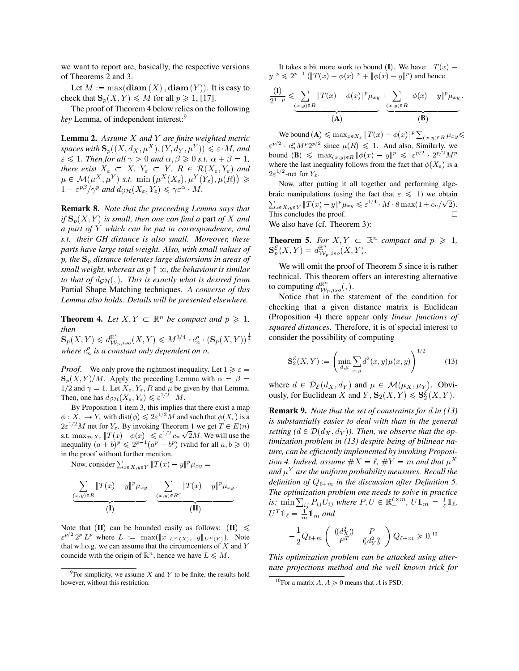we want to report are, basically, the respective versions of Theorems 2 and 3.

Let  $M := \max(\text{diam}(X), \text{diam}(Y))$ . It is easy to check that  $\mathbf{S}_p(X, Y) \leq M$  for all  $p \geq 1$ , [17].

The proof of Theorem 4 below relies on the following *key* Lemma, of independent interest:<sup>9</sup>

Lemma 2. *Assume* X *and* Y *are finite weighted metric spaces with*  $\mathbf{S}_p((X, d_X, \mu^X), (Y, d_Y, \mu^Y)) \leq \varepsilon \cdot M$ *, and*  $\varepsilon \leq 1$ *. Then for all*  $\gamma > 0$  *and*  $\alpha, \beta \geq 0$  *s.t.*  $\alpha + \beta = 1$ *, there exist*  $X_{\varepsilon} \subset X$ ,  $Y_{\varepsilon} \subset Y$ ,  $R \in \mathcal{R}(X_{\varepsilon}, Y_{\varepsilon})$  and  $\mu \in \mathcal{M}(\mu^X, \mu^Y) \text{ s.t. } \min(\mu^X(X_\varepsilon), \mu^Y(Y_\varepsilon), \mu(R)) \geqslant$  $1 - \varepsilon^{p\beta}/\gamma^p$  and  $d_{\mathcal{GH}}(X_\varepsilon, Y_\varepsilon) \leq \gamma \varepsilon^\alpha \cdot M$ .

Remark 8. *Note that the preceeding Lemma says that if*  $\mathbf{S}_p(X, Y)$  *is small, then one can find a part of* X *and a part of* Y *which can be put in correspondence, and s.t. their GH distance is also small. Moreover, these parts have large total weight. Also, with small values of*  $p$ , the  $S_p$  distance tolerates large distorsions in areas of *small weight, whereas as*  $p \uparrow \infty$ *, the behaviour is similar to that of*  $d_{GH}$ , *c*. This is exactly what is desired from Partial Shape Matching techniques*. A converse of this Lemma also holds. Details will be presented elsewhere.*

**Theorem 4.** Let  $X, Y \subset \mathbb{R}^n$  be compact and  $p \ge 1$ , *then*

 $\mathbf{S}_p(X,Y) \leq d^{\mathbb{R}^n}_{\mathcal{W}_p,iso}(X,Y) \leqslant M^{3/4} \cdot c''_n \cdot (\mathbf{S}_p(X,Y))^{\frac{1}{4}}$ where  $c''_n$  is a constant only dependent on  $n$ .

*Proof.* We only prove the rightmost inequality. Let  $1 \geq \varepsilon$  $\mathbf{S}_p(X, Y)/M$ . Apply the preceding Lemma with  $\alpha = \beta =$ 1/2 and  $\gamma = 1$ . Let  $X_{\varepsilon}, Y_{\varepsilon}, R$  and  $\mu$  be given by that Lemma. Then, one has  $d_{\mathcal{GH}}(X_{\varepsilon}, Y_{\varepsilon}) \leqslant \varepsilon^{1/2} M$ .

By Proposition 1 item 3, this implies that there exist a map  $\phi: X_{\varepsilon} \to Y_{\varepsilon}$  with dist $(\phi) \leq 2\varepsilon^{1/2}M$  and such that  $\phi(X_{\varepsilon})$  is a  $2\varepsilon^{1/2}M$  net for  $Y_{\varepsilon}$ . By invoking Theorem 1 we get  $T \in E(n)$ s.t.  $\max_{x \in X_{\varepsilon}} ||T(x) - \phi(x)|| \leq \varepsilon^{1/2} c_n \sqrt{2}M$ . We will use the inequality  $(a + b)^p \leq 2^{p-1}(a^p + b^p)$  (valid for all  $a, b \geq 0$ ) in the proof without further mention.

Now, consider  $\sum_{x \in X, y \in Y} ||T(x) - y||^p \mu_{xy} =$ 

$$
\underbrace{\sum_{(x,y)\in R} \|T(x)-y\|^p \mu_{xy}}_{\text{(I)}} + \underbrace{\sum_{(x,y)\in R^c} \|T(x)-y\|^p \mu_{xy}}_{\text{(II)}}.
$$

Note that (II) can be bounded easily as follows:  $\text{III}$ )  $\leq$  $\varepsilon^{p/2} 2^p L^p$  where  $L := \max(||x||_{L^\infty(X)}, ||y||_{L^\infty(Y)})$ . Note that w.l.o.g. we can assume that the circumcenters of  $X$  and  $Y$ coincide with the origin of  $\mathbb{R}^n$ , hence we have  $L \le M$ .

It takes a bit more work to bound (I). We have:  $||T(x)$  $y\|^p \leq 2^{p-1} (\|T(x) - \phi(x)\|^p + \|\phi(x) - y\|^p)$  and hence

$$
\frac{(\mathbf{I})}{2^{1-p}} \leqslant \sum_{(x,y)\in R} \|T(x) - \phi(x)\|^p \mu_{xy} + \sum_{(x,y)\in R} \|\phi(x) - y\|^p \mu_{xy}
$$
\n
$$
\mathbf{A}) \qquad (B)
$$

.

We bound  $(\mathbf{A}) \le \max_{x \in X_{\varepsilon}} ||T(x) - \phi(x)||^p \sum_{(x,y) \in R} \mu_{xy} \le$  $\varepsilon^{p/2}$   $c_n^p M^p 2^{p/2}$  since  $\mu(R) \leq 1$ . And also, Similarly, we bound  $(\mathbf{B}) \leq \max_{(x,y)\in R} ||\phi(x) - y||^p \leq \varepsilon^{p/2} \cdot 2^{p/2} M^p$ where the last inequality follows from the fact that  $\phi(X_{\varepsilon})$  is a  $2\varepsilon^{1/2}$ -net for  $Y_{\varepsilon}$ .

Now, after putting it all together and performing algebraic manipulations (using the fact that  $\varepsilon \leq 1$ ) we obtain  $\sum_{x \in X, y \in Y} \|T(x) - y\|^p \mu_{xy} \leqslant \varepsilon^{1/4} \cdot M \cdot 8 \max(1 + c_n/\sqrt{2}).$ This concludes the proof. We also have (cf. Theorem 3):

**Theorem 5.** *For*  $X, Y \subset \mathbb{R}^n$  *compact and*  $p \ge 1$ *,*  $\mathbf{S}_{p}^{\mathcal{E}}(X,Y) = d_{\mathcal{W}_{p},iso}^{\mathbb{R}^{n}}(X,Y).$ 

We will omit the proof of Theorem 5 since it is rather technical. This theorem offers an interesting alternative to computing  $d^{\mathbb{R}^n}_{\mathcal{W}_p,iso}(,).$ 

Notice that in the statement of the condition for checking that a given distance matrix is Euclidean (Proposition 4) there appear only *linear functions of squared distances*. Therefore, it is of special interest to consider the possibility of computing

$$
\mathbf{S}_{2}^{\mathcal{E}}(X,Y) := \left(\min_{d,\mu} \sum_{x,y} d^{2}(x,y)\mu(x,y)\right)^{1/2} \tag{13}
$$

where  $d \in \mathcal{D}_{\mathcal{E}}(d_X, d_Y)$  and  $\mu \in \mathcal{M}(\mu_X, \mu_Y)$ . Obviously, for Euclidean X and  $Y$ ,  $\mathbf{S}_2(X, Y) \leq \mathbf{S}_2^{\mathcal{E}}(X, Y)$ .

Remark 9. *Note that the set of constraints for* d *in (13) is substantially easier to deal with than in the general setting*  $(d \in \mathcal{D}(d_X, d_Y))$ . Then, we observe that the op*timization problem in (13) despite being of bilinear nature, can be efficiently implemented by invoking Proposition 4. Indeed, assume*  $\#X = \ell$ ,  $\#Y = m$  *and that*  $\mu^X$ and  $\mu^{Y}$  are the uniform probability measures. Recall the *definition of*  $Q_{\ell+m}$  *in the discussion after Definition 5. The optimization problem one needs to solve in practice is:* min  $\sum_{ij} P_{ij} U_{ij}$  where  $P, U \in \mathbb{R}_+^{\ell \times m}$ ,  $U \mathbb{1}_m = \frac{1}{\ell} \mathbb{1}_{\ell}$ ,  $U^T \mathbb{1}_{\ell} = \frac{1}{m} \mathbb{1}_m$  and

$$
-\frac{1}{2}Q_{\ell+m}\begin{pmatrix}((d_X^2) & P \\ P^T & ((d_Y^2))\end{pmatrix}Q_{\ell+m} \geq 0.^{10}
$$

*This optimization problem can be attacked using alternate projections method and the well known trick for*

 $9^9$ For simplicity, we assume X and Y to be finite, the results hold however, without this restriction.

<sup>&</sup>lt;sup>10</sup>For a matrix  $A, A \ge 0$  means that A is PSD.